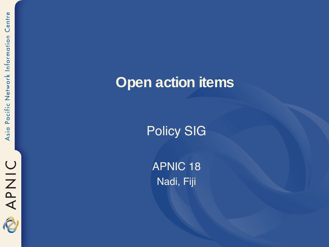### **Open action items**

Policy SIG

APNIC 18 Nadi, Fiji

RAPNIC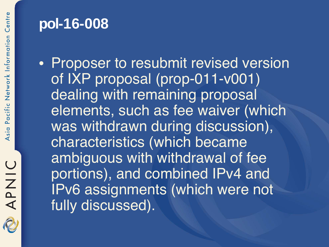### **pol-16-008**

• Proposer to resubmit revised version of IXP proposal (prop-011-v001) dealing with remaining proposal elements, such as fee waiver (which was withdrawn during discussion), characteristics (which became ambiguous with withdrawal of fee portions), and combined IPv4 and IPv6 assignments (which were not fully discussed).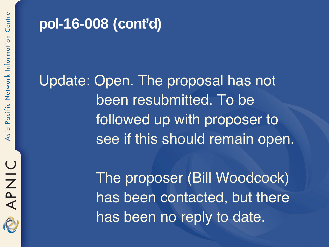

### **pol-16-008 (cont'd)**

Update: Open. The proposal has not been resubmitted. To be followed up with proposer to see if this should remain open.

> The proposer (Bill Woodcock) has been contacted, but there has been no reply to date.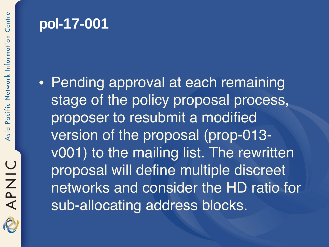### **pol-17-001**

• Pending approval at each remaining stage of the policy proposal process, proposer to resubmit a modified version of the proposal (prop-013 v001) to the mailing list. The rewritten proposal will define multiple discreet networks and consider the HD ratio for sub-allocating address blocks.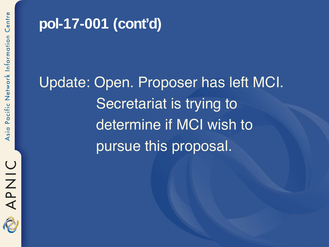

# **pol-17-001 (cont'd)**

Update: Open. Proposer has left MCI. Secretariat is trying to determine if MCI wish to pursue this proposal.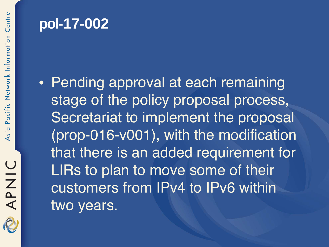## **pol-17-002**

• Pending approval at each remaining stage of the policy proposal process, Secretariat to implement the proposal (prop-016-v001), with the modification that there is an added requirement for LIRs to plan to move some of their customers from IPv4 to IPv6 within two years.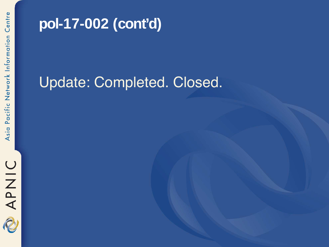

## **pol-17-002 (cont'd)**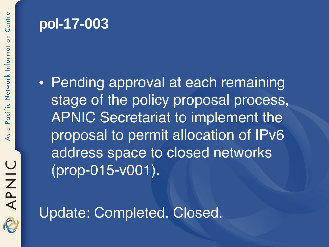# **pol-17-003**

• Pending approval at each remaining stage of the policy proposal process, APNIC Secretariat to implement the proposal to permit allocation of IPv6 address space to closed networks (prop-015-v001).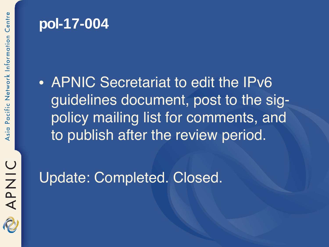#### **pol-17-004**

• APNIC Secretariat to edit the IPv6 guidelines document, post to the sigpolicy mailing list for comments, and to publish after the review period.

APNIC 2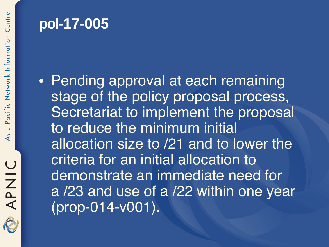### **pol-17-005**

• Pending approval at each remaining stage of the policy proposal process, Secretariat to implement the proposal to reduce the minimum initial allocation size to /21 and to lower the criteria for an initial allocation to demonstrate an immediate need for a /23 and use of a /22 within one year (prop-014-v001).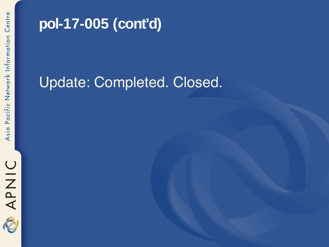

# **pol-17-005 (cont'd)**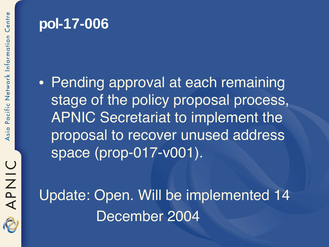## **pol-17-006**

• Pending approval at each remaining stage of the policy proposal process, APNIC Secretariat to implement the proposal to recover unused address space (prop-017-v001).

Update: Open. Will be implemented 14 December 2004